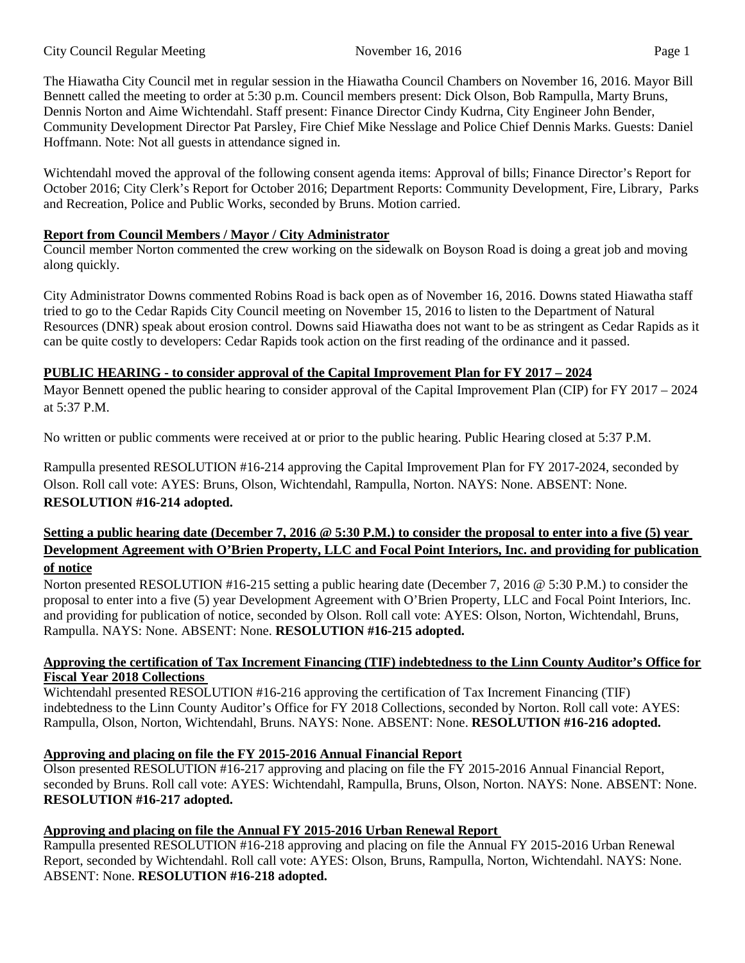The Hiawatha City Council met in regular session in the Hiawatha Council Chambers on November 16, 2016. Mayor Bill Bennett called the meeting to order at 5:30 p.m. Council members present: Dick Olson, Bob Rampulla, Marty Bruns, Dennis Norton and Aime Wichtendahl. Staff present: Finance Director Cindy Kudrna, City Engineer John Bender, Community Development Director Pat Parsley, Fire Chief Mike Nesslage and Police Chief Dennis Marks. Guests: Daniel Hoffmann. Note: Not all guests in attendance signed in.

Wichtendahl moved the approval of the following consent agenda items: Approval of bills; Finance Director's Report for October 2016; City Clerk's Report for October 2016; Department Reports: Community Development, Fire, Library, Parks and Recreation, Police and Public Works, seconded by Bruns. Motion carried.

### **Report from Council Members / Mayor / City Administrator**

Council member Norton commented the crew working on the sidewalk on Boyson Road is doing a great job and moving along quickly.

City Administrator Downs commented Robins Road is back open as of November 16, 2016. Downs stated Hiawatha staff tried to go to the Cedar Rapids City Council meeting on November 15, 2016 to listen to the Department of Natural Resources (DNR) speak about erosion control. Downs said Hiawatha does not want to be as stringent as Cedar Rapids as it can be quite costly to developers: Cedar Rapids took action on the first reading of the ordinance and it passed.

## **PUBLIC HEARING - to consider approval of the Capital Improvement Plan for FY 2017 – 2024**

Mayor Bennett opened the public hearing to consider approval of the Capital Improvement Plan (CIP) for FY 2017 – 2024 at 5:37 P.M.

No written or public comments were received at or prior to the public hearing. Public Hearing closed at 5:37 P.M.

Rampulla presented RESOLUTION #16-214 approving the Capital Improvement Plan for FY 2017-2024, seconded by Olson. Roll call vote: AYES: Bruns, Olson, Wichtendahl, Rampulla, Norton. NAYS: None. ABSENT: None. **RESOLUTION #16-214 adopted.** 

## **Setting a public hearing date (December 7, 2016 @ 5:30 P.M.) to consider the proposal to enter into a five (5) year Development Agreement with O'Brien Property, LLC and Focal Point Interiors, Inc. and providing for publication of notice**

Norton presented RESOLUTION #16-215 setting a public hearing date (December 7, 2016 @ 5:30 P.M.) to consider the proposal to enter into a five (5) year Development Agreement with O'Brien Property, LLC and Focal Point Interiors, Inc. and providing for publication of notice, seconded by Olson. Roll call vote: AYES: Olson, Norton, Wichtendahl, Bruns, Rampulla. NAYS: None. ABSENT: None. **RESOLUTION #16-215 adopted.** 

### **Approving the certification of Tax Increment Financing (TIF) indebtedness to the Linn County Auditor's Office for Fiscal Year 2018 Collections**

Wichtendahl presented RESOLUTION #16-216 approving the certification of Tax Increment Financing (TIF) indebtedness to the Linn County Auditor's Office for FY 2018 Collections, seconded by Norton. Roll call vote: AYES: Rampulla, Olson, Norton, Wichtendahl, Bruns. NAYS: None. ABSENT: None. **RESOLUTION #16-216 adopted.** 

# **Approving and placing on file the FY 2015-2016 Annual Financial Report**

Olson presented RESOLUTION #16-217 approving and placing on file the FY 2015-2016 Annual Financial Report, seconded by Bruns. Roll call vote: AYES: Wichtendahl, Rampulla, Bruns, Olson, Norton. NAYS: None. ABSENT: None. **RESOLUTION #16-217 adopted.** 

# **Approving and placing on file the Annual FY 2015-2016 Urban Renewal Report**

Rampulla presented RESOLUTION #16-218 approving and placing on file the Annual FY 2015-2016 Urban Renewal Report, seconded by Wichtendahl. Roll call vote: AYES: Olson, Bruns, Rampulla, Norton, Wichtendahl. NAYS: None. ABSENT: None. **RESOLUTION #16-218 adopted.**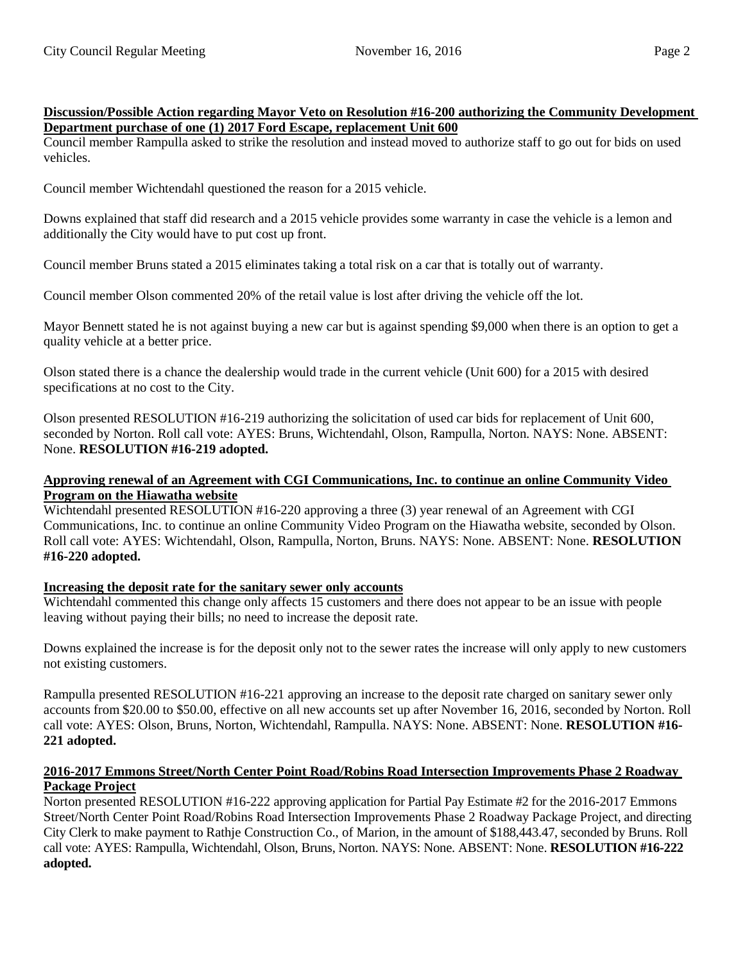### **Discussion/Possible Action regarding Mayor Veto on Resolution #16-200 authorizing the Community Development Department purchase of one (1) 2017 Ford Escape, replacement Unit 600**

Council member Rampulla asked to strike the resolution and instead moved to authorize staff to go out for bids on used vehicles.

Council member Wichtendahl questioned the reason for a 2015 vehicle.

Downs explained that staff did research and a 2015 vehicle provides some warranty in case the vehicle is a lemon and additionally the City would have to put cost up front.

Council member Bruns stated a 2015 eliminates taking a total risk on a car that is totally out of warranty.

Council member Olson commented 20% of the retail value is lost after driving the vehicle off the lot.

Mayor Bennett stated he is not against buying a new car but is against spending \$9,000 when there is an option to get a quality vehicle at a better price.

Olson stated there is a chance the dealership would trade in the current vehicle (Unit 600) for a 2015 with desired specifications at no cost to the City.

Olson presented RESOLUTION #16-219 authorizing the solicitation of used car bids for replacement of Unit 600, seconded by Norton. Roll call vote: AYES: Bruns, Wichtendahl, Olson, Rampulla, Norton. NAYS: None. ABSENT: None. **RESOLUTION #16-219 adopted.** 

### **Approving renewal of an Agreement with CGI Communications, Inc. to continue an online Community Video Program on the Hiawatha website**

Wichtendahl presented RESOLUTION #16-220 approving a three (3) year renewal of an Agreement with CGI Communications, Inc. to continue an online Community Video Program on the Hiawatha website, seconded by Olson. Roll call vote: AYES: Wichtendahl, Olson, Rampulla, Norton, Bruns. NAYS: None. ABSENT: None. **RESOLUTION #16-220 adopted.** 

### **Increasing the deposit rate for the sanitary sewer only accounts**

Wichtendahl commented this change only affects 15 customers and there does not appear to be an issue with people leaving without paying their bills; no need to increase the deposit rate.

Downs explained the increase is for the deposit only not to the sewer rates the increase will only apply to new customers not existing customers.

Rampulla presented RESOLUTION #16-221 approving an increase to the deposit rate charged on sanitary sewer only accounts from \$20.00 to \$50.00, effective on all new accounts set up after November 16, 2016, seconded by Norton. Roll call vote: AYES: Olson, Bruns, Norton, Wichtendahl, Rampulla. NAYS: None. ABSENT: None. **RESOLUTION #16- 221 adopted.** 

#### **2016-2017 Emmons Street/North Center Point Road/Robins Road Intersection Improvements Phase 2 Roadway Package Project**

Norton presented RESOLUTION #16-222 approving application for Partial Pay Estimate #2 for the 2016-2017 Emmons Street/North Center Point Road/Robins Road Intersection Improvements Phase 2 Roadway Package Project, and directing City Clerk to make payment to Rathje Construction Co., of Marion, in the amount of \$188,443.47, seconded by Bruns. Roll call vote: AYES: Rampulla, Wichtendahl, Olson, Bruns, Norton. NAYS: None. ABSENT: None. **RESOLUTION #16-222 adopted.**